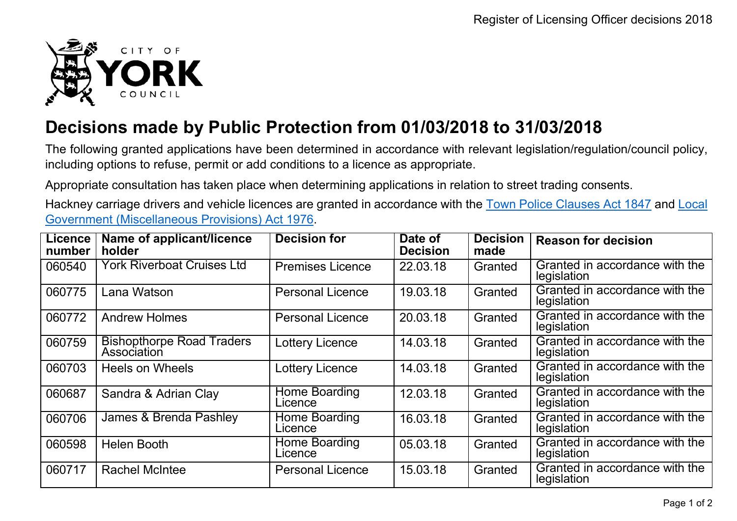

## **Decisions made by Public Protection from 01/03/2018 to 31/03/2018**

The following granted applications have been determined in accordance with relevant legislation/regulation/council policy, including options to refuse, permit or add conditions to a licence as appropriate.

Appropriate consultation has taken place when determining applications in relation to street trading consents.

Hackney carriage drivers and vehicle licences are granted in accordance with the Town Police [Clauses](http://www.legislation.gov.uk/ukpga/Vict/10-11/89) Act 1847 and [Local](http://www.legislation.gov.uk/ukpga/1976/57) [Government \(Miscellaneous Provisions\) Act 1976.](http://www.legislation.gov.uk/ukpga/1976/57)

| <b>Licence</b><br>number | Name of applicant/licence<br><b>holder</b>      | <b>Decision for</b>      | Date of<br><b>Decision</b> | <b>Decision</b><br>made | <b>Reason for decision</b>                    |
|--------------------------|-------------------------------------------------|--------------------------|----------------------------|-------------------------|-----------------------------------------------|
| 060540                   | York Riverboat Cruises Ltd                      | <b>Premises Licence</b>  | 22.03.18                   | Granted                 | Granted in accordance with the<br>legislation |
| 060775                   | Lana Watson                                     | <b>Personal Licence</b>  | 19.03.18                   | Granted                 | Granted in accordance with the<br>legislation |
| 060772                   | <b>Andrew Holmes</b>                            | <b>Personal Licence</b>  | 20.03.18                   | Granted                 | Granted in accordance with the<br>legislation |
| 060759                   | <b>Bishopthorpe Road Traders</b><br>Association | <b>Lottery Licence</b>   | 14.03.18                   | Granted                 | Granted in accordance with the<br>legislation |
| 060703                   | <b>Heels on Wheels</b>                          | <b>Lottery Licence</b>   | 14.03.18                   | Granted                 | Granted in accordance with the<br>legislation |
| 060687                   | Sandra & Adrian Clay                            | Home Boarding<br>Licence | 12.03.18                   | Granted                 | Granted in accordance with the<br>legislation |
| 060706                   | James & Brenda Pashley                          | Home Boarding<br>Licence | 16.03.18                   | Granted                 | Granted in accordance with the<br>legislation |
| 060598                   | <b>Helen Booth</b>                              | Home Boarding<br>Licence | 05.03.18                   | Granted                 | Granted in accordance with the<br>legislation |
| 060717                   | <b>Rachel McIntee</b>                           | <b>Personal Licence</b>  | 15.03.18                   | Granted                 | Granted in accordance with the<br>legislation |